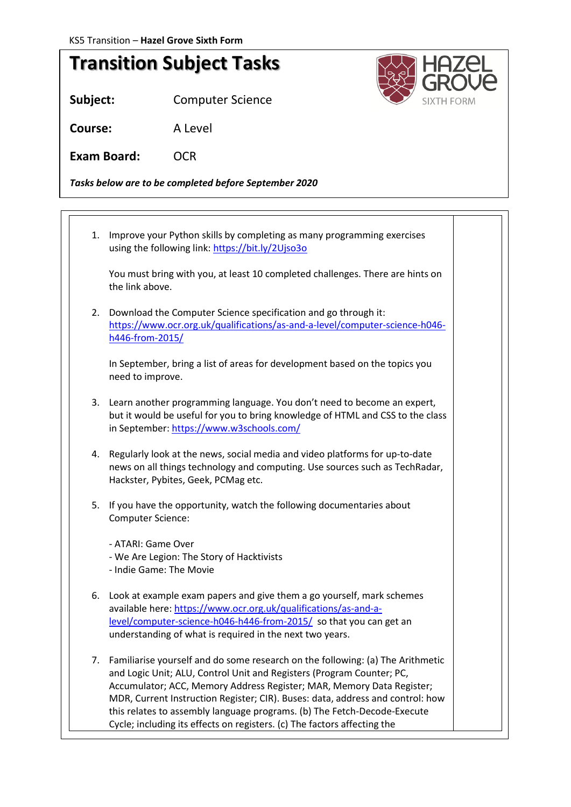## **Transition Subject Tasks**

**Subject:** Computer Science

**Course:** A Level

Exam Board: OCR

*Tasks below are to be completed before September 2020*

1. Improve your Python skills by completing as many programming exercises using the following link:<https://bit.ly/2Ujso3o> You must bring with you, at least 10 completed challenges. There are hints on the link above. 2. Download the Computer Science specification and go through it: [https://www.ocr.org.uk/qualifications/as-and-a-level/computer-science-h046](https://www.ocr.org.uk/qualifications/as-and-a-level/computer-science-h046-h446-from-2015/) [h446-from-2015/](https://www.ocr.org.uk/qualifications/as-and-a-level/computer-science-h046-h446-from-2015/) In September, bring a list of areas for development based on the topics you need to improve. 3. Learn another programming language. You don't need to become an expert, but it would be useful for you to bring knowledge of HTML and CSS to the class in September:<https://www.w3schools.com/> 4. Regularly look at the news, social media and video platforms for up-to-date news on all things technology and computing. Use sources such as TechRadar, Hackster, Pybites, Geek, PCMag etc. 5. If you have the opportunity, watch the following documentaries about Computer Science: - ATARI: Game Over - We Are Legion: The Story of Hacktivists - Indie Game: The Movie 6. Look at example exam papers and give them a go yourself, mark schemes available here[: https://www.ocr.org.uk/qualifications/as-and-a](https://www.ocr.org.uk/qualifications/as-and-a-level/computer-science-h046-h446-from-2015/)[level/computer-science-h046-h446-from-2015/](https://www.ocr.org.uk/qualifications/as-and-a-level/computer-science-h046-h446-from-2015/) so that you can get an understanding of what is required in the next two years. 7. Familiarise yourself and do some research on the following: (a) The Arithmetic and Logic Unit; ALU, Control Unit and Registers (Program Counter; PC, Accumulator; ACC, Memory Address Register; MAR, Memory Data Register; MDR, Current Instruction Register; CIR). Buses: data, address and control: how this relates to assembly language programs. (b) The Fetch-Decode-Execute Cycle; including its effects on registers. (c) The factors affecting the